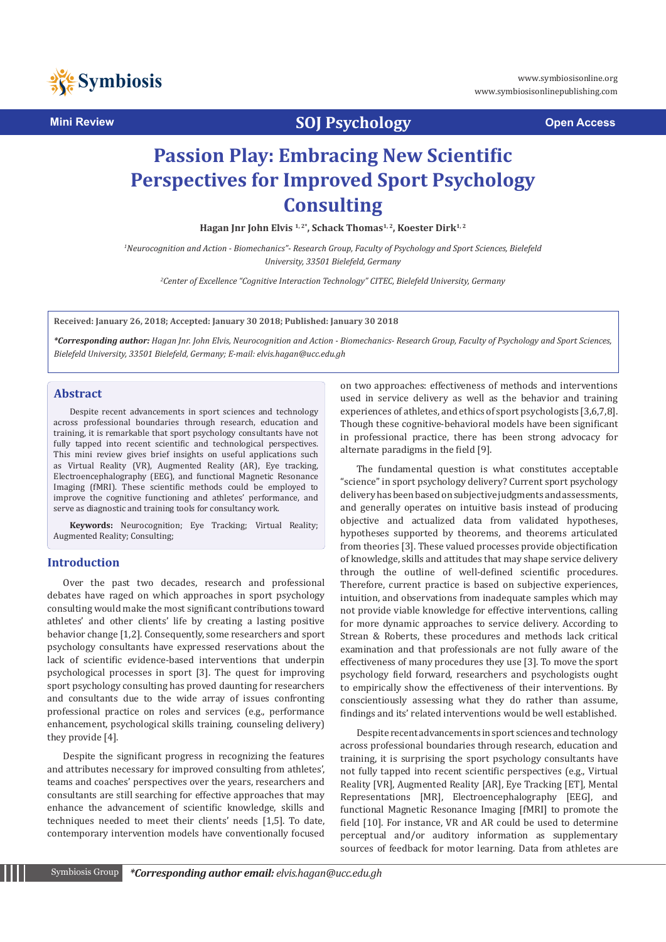

**Mini Review Community Construction Community Community Community Community Community Community Community Community** 

# **Passion Play: Embracing New Scientific Perspectives for Improved Sport Psychology Consulting**

Hagan Jnr John Elvis<sup>1,2\*</sup>, Schack Thomas<sup>1,2</sup>, Koester Dirk<sup>1,2</sup>

*1 Neurocognition and Action - Biomechanics"- Research Group, Faculty of Psychology and Sport Sciences, Bielefeld University, 33501 Bielefeld, Germany*

*2 Center of Excellence "Cognitive Interaction Technology" CITEC, Bielefeld University, Germany*

**Received: January 26, 2018; Accepted: January 30 2018; Published: January 30 2018**

*\*Corresponding author: Hagan Jnr. John Elvis, Neurocognition and Action - Biomechanics- Research Group, Faculty of Psychology and Sport Sciences, Bielefeld University, 33501 Bielefeld, Germany; E-mail: elvis.hagan@ucc.edu.gh* 

#### **Abstract**

Despite recent advancements in sport sciences and technology across professional boundaries through research, education and training, it is remarkable that sport psychology consultants have not fully tapped into recent scientific and technological perspectives. This mini review gives brief insights on useful applications such as Virtual Reality (VR), Augmented Reality (AR), Eye tracking, Electroencephalography (EEG), and functional Magnetic Resonance Imaging (fMRI). These scientific methods could be employed to improve the cognitive functioning and athletes' performance, and serve as diagnostic and training tools for consultancy work.

**Keywords:** Neurocognition; Eye Tracking; Virtual Reality; Augmented Reality; Consulting;

### **Introduction**

Over the past two decades, research and professional debates have raged on which approaches in sport psychology consulting would make the most significant contributions toward athletes' and other clients' life by creating a lasting positive behavior change [1,2]. Consequently, some researchers and sport psychology consultants have expressed reservations about the lack of scientific evidence-based interventions that underpin psychological processes in sport [3]. The quest for improving sport psychology consulting has proved daunting for researchers and consultants due to the wide array of issues confronting professional practice on roles and services (e.g., performance enhancement, psychological skills training, counseling delivery) they provide [4].

Despite the significant progress in recognizing the features and attributes necessary for improved consulting from athletes', teams and coaches' perspectives over the years, researchers and consultants are still searching for effective approaches that may enhance the advancement of scientific knowledge, skills and techniques needed to meet their clients' needs [1,5]. To date, contemporary intervention models have conventionally focused

on two approaches: effectiveness of methods and interventions used in service delivery as well as the behavior and training experiences of athletes, and ethics of sport psychologists [3,6,7,8]. Though these cognitive-behavioral models have been significant in professional practice, there has been strong advocacy for alternate paradigms in the field [9].

The fundamental question is what constitutes acceptable "science" in sport psychology delivery? Current sport psychology delivery has been based on subjective judgments and assessments, and generally operates on intuitive basis instead of producing objective and actualized data from validated hypotheses, hypotheses supported by theorems, and theorems articulated from theories [3]. These valued processes provide objectification of knowledge, skills and attitudes that may shape service delivery through the outline of well-defined scientific procedures. Therefore, current practice is based on subjective experiences, intuition, and observations from inadequate samples which may not provide viable knowledge for effective interventions, calling for more dynamic approaches to service delivery. According to Strean & Roberts, these procedures and methods lack critical examination and that professionals are not fully aware of the effectiveness of many procedures they use [3]. To move the sport psychology field forward, researchers and psychologists ought to empirically show the effectiveness of their interventions. By conscientiously assessing what they do rather than assume, findings and its' related interventions would be well established.

Despite recent advancements in sport sciences and technology across professional boundaries through research, education and training, it is surprising the sport psychology consultants have not fully tapped into recent scientific perspectives (e.g., Virtual Reality [VR], Augmented Reality [AR], Eye Tracking [ET], Mental Representations [MR], Electroencephalography [EEG], and functional Magnetic Resonance Imaging [fMRI] to promote the field [10]. For instance, VR and AR could be used to determine perceptual and/or auditory information as supplementary sources of feedback for motor learning. Data from athletes are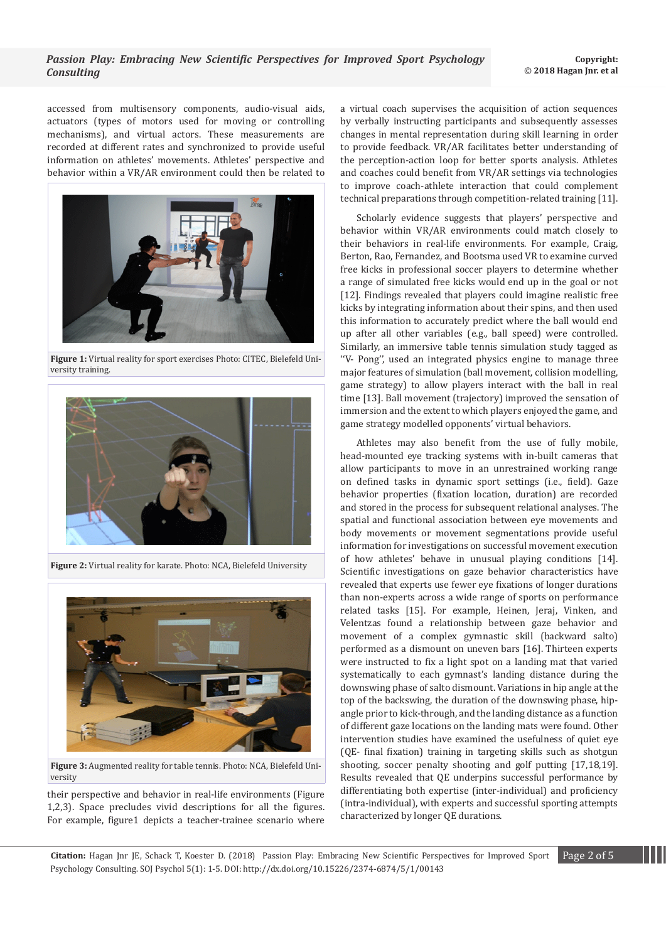accessed from multisensory components, audio-visual aids, actuators (types of motors used for moving or controlling mechanisms), and virtual actors. These measurements are recorded at different rates and synchronized to provide useful information on athletes' movements. Athletes' perspective and behavior within a VR/AR environment could then be related to



**Figure 1:** Virtual reality for sport exercises Photo: CITEC, Bielefeld University training.



**Figure 2:** Virtual reality for karate. Photo: NCA, Bielefeld University



**Figure 3:** Augmented reality for table tennis. Photo: NCA, Bielefeld University

their perspective and behavior in real-life environments (Figure 1,2,3). Space precludes vivid descriptions for all the figures. For example, figure1 depicts a teacher-trainee scenario where a virtual coach supervises the acquisition of action sequences by verbally instructing participants and subsequently assesses changes in mental representation during skill learning in order to provide feedback. VR/AR facilitates better understanding of the perception-action loop for better sports analysis. Athletes and coaches could benefit from VR/AR settings via technologies to improve coach-athlete interaction that could complement technical preparations through competition-related training [11].

Scholarly evidence suggests that players' perspective and behavior within VR/AR environments could match closely to their behaviors in real-life environments. For example, Craig, Berton, Rao, Fernandez, and Bootsma used VR to examine curved free kicks in professional soccer players to determine whether a range of simulated free kicks would end up in the goal or not [12]. Findings revealed that players could imagine realistic free kicks by integrating information about their spins, and then used this information to accurately predict where the ball would end up after all other variables (e.g., ball speed) were controlled. Similarly, an immersive table tennis simulation study tagged as ''V- Pong'', used an integrated physics engine to manage three major features of simulation (ball movement, collision modelling, game strategy) to allow players interact with the ball in real time [13]. Ball movement (trajectory) improved the sensation of immersion and the extent to which players enjoyed the game, and game strategy modelled opponents' virtual behaviors.

Athletes may also benefit from the use of fully mobile, head-mounted eye tracking systems with in-built cameras that allow participants to move in an unrestrained working range on defined tasks in dynamic sport settings (i.e., field). Gaze behavior properties (fixation location, duration) are recorded and stored in the process for subsequent relational analyses. The spatial and functional association between eye movements and body movements or movement segmentations provide useful information for investigations on successful movement execution of how athletes' behave in unusual playing conditions [14]. Scientific investigations on gaze behavior characteristics have revealed that experts use fewer eye fixations of longer durations than non-experts across a wide range of sports on performance related tasks [15]. For example, Heinen, Jeraj, Vinken, and Velentzas found a relationship between gaze behavior and movement of a complex gymnastic skill (backward salto) performed as a dismount on uneven bars [16]. Thirteen experts were instructed to fix a light spot on a landing mat that varied systematically to each gymnast's landing distance during the downswing phase of salto dismount. Variations in hip angle at the top of the backswing, the duration of the downswing phase, hipangle prior to kick-through, and the landing distance as a function of different gaze locations on the landing mats were found. Other intervention studies have examined the usefulness of quiet eye (QE- final fixation) training in targeting skills such as shotgun shooting, soccer penalty shooting and golf putting [17,18,19]. Results revealed that QE underpins successful performance by differentiating both expertise (inter-individual) and proficiency (intra-individual), with experts and successful sporting attempts characterized by longer QE durations.

**Citation:** Hagan Jnr JE, Schack T, Koester D. (2018) Passion Play: Embracing New Scientific Perspectives for Improved Sport Page 2 of 5 Psychology Consulting. SOJ Psychol 5(1): 1-5. DOI: http://dx.doi.org/10.15226/2374-6874/5/1/00143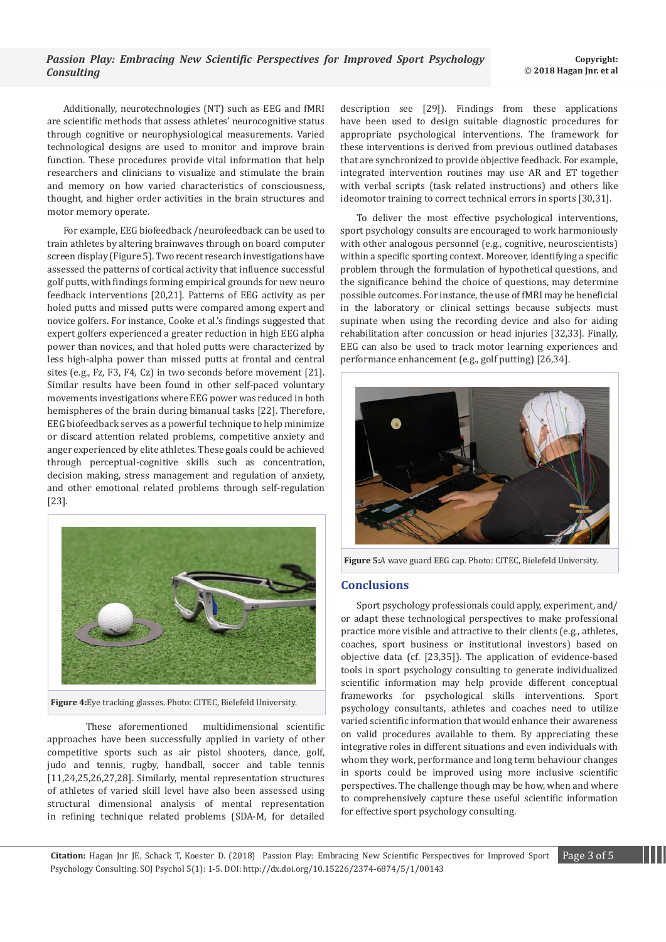Additionally, neurotechnologies (NT) such as EEG and fMRI are scientific methods that assess athletes' neurocognitive status through cognitive or neurophysiological measurements. Varied technological designs are used to monitor and improve brain function. These procedures provide vital information that help researchers and clinicians to visualize and stimulate the brain and memory on how varied characteristics of consciousness, thought, and higher order activities in the brain structures and motor memory operate.

For example, EEG biofeedback /neurofeedback can be used to train athletes by altering brainwaves through on board computer screen display (Figure 5). Two recent research investigations have assessed the patterns of cortical activity that influence successful golf putts, with findings forming empirical grounds for new neuro feedback interventions [20,21]. Patterns of EEG activity as per holed putts and missed putts were compared among expert and novice golfers. For instance, Cooke et al.'s findings suggested that expert golfers experienced a greater reduction in high EEG alpha power than novices, and that holed putts were characterized by less high-alpha power than missed putts at frontal and central sites (e.g., Fz, F3, F4, Cz) in two seconds before movement [21]. Similar results have been found in other self-paced voluntary movements investigations where EEG power was reduced in both hemispheres of the brain during bimanual tasks [22]. Therefore, EEG biofeedback serves as a powerful technique to help minimize or discard attention related problems, competitive anxiety and anger experienced by elite athletes. These goals could be achieved through perceptual-cognitive skills such as concentration, decision making, stress management and regulation of anxiety, and other emotional related problems through self-regulation [23].



**Figure 4:**Eye tracking glasses. Photo: CITEC, Bielefeld University.

 These aforementioned multidimensional scientific approaches have been successfully applied in variety of other competitive sports such as air pistol shooters, dance, golf, judo and tennis, rugby, handball, soccer and table tennis [11,24,25,26,27,28]. Similarly, mental representation structures of athletes of varied skill level have also been assessed using structural dimensional analysis of mental representation in refining technique related problems (SDA-M, for detailed

description see [29]). Findings from these applications have been used to design suitable diagnostic procedures for appropriate psychological interventions. The framework for these interventions is derived from previous outlined databases that are synchronized to provide objective feedback. For example, integrated intervention routines may use AR and ET together with verbal scripts (task related instructions) and others like ideomotor training to correct technical errors in sports [30,31].

To deliver the most effective psychological interventions, sport psychology consults are encouraged to work harmoniously with other analogous personnel (e.g., cognitive, neuroscientists) within a specific sporting context. Moreover, identifying a specific problem through the formulation of hypothetical questions, and the significance behind the choice of questions, may determine possible outcomes. For instance, the use of fMRI may be beneficial in the laboratory or clinical settings because subjects must supinate when using the recording device and also for aiding rehabilitation after concussion or head injuries [32,33]. Finally, EEG can also be used to track motor learning experiences and performance enhancement (e.g., golf putting) [26,34].



**Figure 5:**A wave guard EEG cap. Photo: CITEC, Bielefeld University.

### **Conclusions**

Sport psychology professionals could apply, experiment, and/ or adapt these technological perspectives to make professional practice more visible and attractive to their clients (e.g., athletes, coaches, sport business or institutional investors) based on objective data (cf. [23,35]). The application of evidence-based tools in sport psychology consulting to generate individualized scientific information may help provide different conceptual frameworks for psychological skills interventions. Sport psychology consultants, athletes and coaches need to utilize varied scientific information that would enhance their awareness on valid procedures available to them. By appreciating these integrative roles in different situations and even individuals with whom they work, performance and long term behaviour changes in sports could be improved using more inclusive scientific perspectives. The challenge though may be how, when and where to comprehensively capture these useful scientific information for effective sport psychology consulting.

**Citation:** Hagan Jnr JE, Schack T, Koester D. (2018) Passion Play: Embracing New Scientific Perspectives for Improved Sport Page 3 of 5 Psychology Consulting. SOJ Psychol 5(1): 1-5. DOI: http://dx.doi.org/10.15226/2374-6874/5/1/00143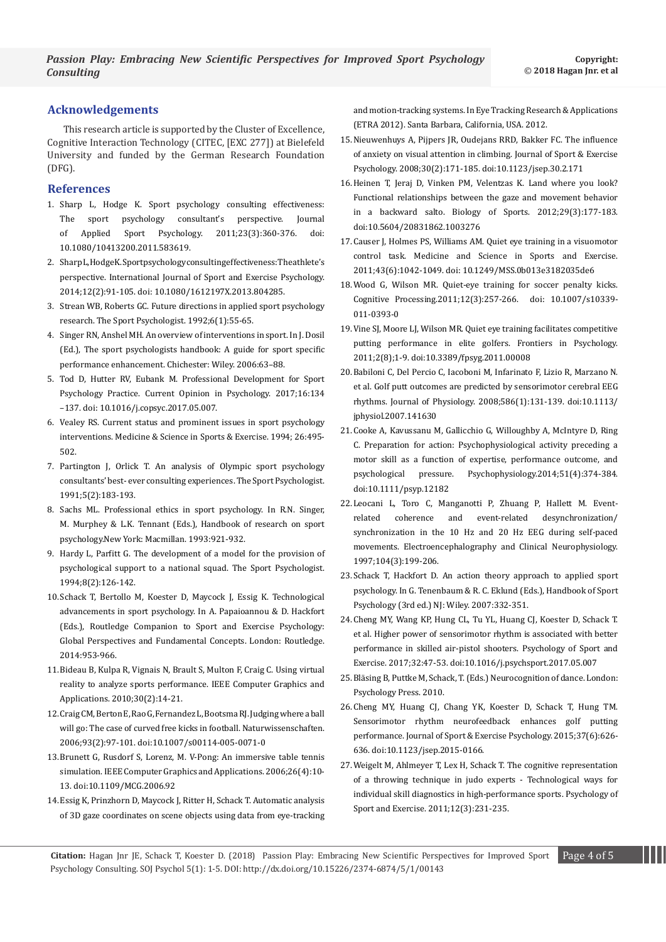## **Acknowledgements**

This research article is supported by the Cluster of Excellence, Cognitive Interaction Technology (CITEC, [EXC 277]) at Bielefeld University and funded by the German Research Foundation (DFG).

### **References**

- 1. [Sharp L, Hodge K. Sport psychology consulting effectiveness:](http://www.tandfonline.com/doi/abs/10.1080/10413200.2011.583619)  [The sport psychology consultant's perspective. Journal](http://www.tandfonline.com/doi/abs/10.1080/10413200.2011.583619)  [of Applied Sport Psychology. 2011;23\(3\):360-376. doi:](http://www.tandfonline.com/doi/abs/10.1080/10413200.2011.583619)  [10.1080/10413200.2011.583619.](http://www.tandfonline.com/doi/abs/10.1080/10413200.2011.583619)
- 2. Sharp L, Hodge K. Sport psychology consulting effectiveness: The athlete's [perspective. International Journal of Sport and Exercise Psychology.](http://www.tandfonline.com/doi/abs/10.1080/1612197X.2013.804285)  [2014;12\(2\):91-105. doi: 10.1080/1612197X.2013.804285.](http://www.tandfonline.com/doi/abs/10.1080/1612197X.2013.804285)
- 3. [Strean WB, Roberts GC. Future directions in applied sport psychology](https://journals.humankinetics.com/doi/abs/10.1123/tsp.6.1.55)  [research. The Sport Psychologist. 1992;6\(1\):55-65.](https://journals.humankinetics.com/doi/abs/10.1123/tsp.6.1.55)
- 4. Singer RN, Anshel MH. An overview of interventions in sport. In J. Dosil (Ed.), The sport psychologists handbook: A guide for sport specific performance enhancement. Chichester: Wiley. 2006:63–88.
- 5. [Tod D, Hutter RV, Eubank M. Professional Development for Sport](https://www.sciencedirect.com/science/article/pii/S2352250X16301610)  [Psychology Practice. Current Opinion in Psychology. 2017;16:134](https://www.sciencedirect.com/science/article/pii/S2352250X16301610)  [–137. doi: 10.1016/j.copsyc.2017.05.007.](https://www.sciencedirect.com/science/article/pii/S2352250X16301610)
- 6. [Vealey RS. Current status and prominent issues in sport psychology](http://www.sportgeest.nl/files/Status%20and%20Issues%20in%20Sportpsychology%20Interventions%20(Vealy).pdf)  [interventions. Medicine & Science in Sports & Exercise. 1994; 26:495-](http://www.sportgeest.nl/files/Status%20and%20Issues%20in%20Sportpsychology%20Interventions%20(Vealy).pdf) [502.](http://www.sportgeest.nl/files/Status%20and%20Issues%20in%20Sportpsychology%20Interventions%20(Vealy).pdf)
- 7. [Partington J, Orlick T. An analysis of Olympic sport psychology](https://journals.humankinetics.com/doi/abs/10.1123/tsp.5.2.183)  [consultants' best- ever consulting experiences. The Sport Psychologist.](https://journals.humankinetics.com/doi/abs/10.1123/tsp.5.2.183)  [1991;5\(2\):183-193.](https://journals.humankinetics.com/doi/abs/10.1123/tsp.5.2.183)
- 8. [Sachs ML. Professional ethics in sport psychology. In R.N. Singer,](https://books.google.co.in/books?id=yeeps5hD7XQC&pg=PA117&lpg=PA117&dq=Professional+ethics+in+sport+psychology.+In+R.N.+Singer,+M.+Murphey+%26+L.K.+Tennant+(Eds.),+Handbook+of+research+on+sport+psychology.New+York&s)  [M. Murphey & L.K. Tennant \(Eds.\), Handbook of research on sport](https://books.google.co.in/books?id=yeeps5hD7XQC&pg=PA117&lpg=PA117&dq=Professional+ethics+in+sport+psychology.+In+R.N.+Singer,+M.+Murphey+%26+L.K.+Tennant+(Eds.),+Handbook+of+research+on+sport+psychology.New+York&s)  [psychology.New York: Macmillan. 1993:921-932.](https://books.google.co.in/books?id=yeeps5hD7XQC&pg=PA117&lpg=PA117&dq=Professional+ethics+in+sport+psychology.+In+R.N.+Singer,+M.+Murphey+%26+L.K.+Tennant+(Eds.),+Handbook+of+research+on+sport+psychology.New+York&s)
- 9. [Hardy L, Parfitt G. The development of a model for the provision of](https://journals.humankinetics.com/doi/abs/10.1123/tsp.8.2.126)  [psychological support to a national squad. The Sport Psychologist.](https://journals.humankinetics.com/doi/abs/10.1123/tsp.8.2.126)  [1994;8\(2\):126-142.](https://journals.humankinetics.com/doi/abs/10.1123/tsp.8.2.126)
- 10.[Schack T, Bertollo M, Koester D, Maycock J, Essig K. Technological](https://pub.uni-bielefeld.de/publication/2713938)  [advancements in sport psychology. In A. Papaioannou & D. Hackfort](https://pub.uni-bielefeld.de/publication/2713938)  [\(Eds.\), Routledge Companion to Sport and Exercise Psychology:](https://pub.uni-bielefeld.de/publication/2713938)  [Global Perspectives and Fundamental Concepts. London: Routledge.](https://pub.uni-bielefeld.de/publication/2713938)  [2014:953-966.](https://pub.uni-bielefeld.de/publication/2713938)
- 11.[Bideau B, Kulpa R, Vignais N, Brault S, Multon F, Craig C. Using virtual](http://ieeexplore.ieee.org/document/5339124/)  [reality to analyze sports performance. IEEE Computer Graphics and](http://ieeexplore.ieee.org/document/5339124/)  [Applications. 2010;30\(2\):14-21.](http://ieeexplore.ieee.org/document/5339124/)
- 12.[Craig CM, Berton E, Rao G, Fernandez L, Bootsma RJ. Judging where a ball](https://www.ncbi.nlm.nih.gov/pubmed/16450083)  [will go: The case of curved free kicks in football. Naturwissenschaften.](https://www.ncbi.nlm.nih.gov/pubmed/16450083)  [2006;93\(2\):97-101. doi:10.1007/s00114-005-0071-0](https://www.ncbi.nlm.nih.gov/pubmed/16450083)
- 13.[Brunett G, Rusdorf S, Lorenz, M. V-Pong: An immersive table tennis](http://ieeexplore.ieee.org/document/1652918/)  [simulation. IEEE Computer Graphics and Applications. 2006;26\(4\):10-](http://ieeexplore.ieee.org/document/1652918/) [13. doi:10.1109/MCG.2006.92](http://ieeexplore.ieee.org/document/1652918/)
- 14.[Essig K, Prinzhorn D, Maycock J, Ritter H, Schack T. Automatic analysis](https://dl.acm.org/citation.cfm?id=2168561)  [of 3D gaze coordinates on scene objects using data from eye-tracking](https://dl.acm.org/citation.cfm?id=2168561)

[and motion-tracking systems. In Eye Tracking Research & Applications](https://dl.acm.org/citation.cfm?id=2168561)  [\(ETRA 2012\). Santa Barbara, California, USA. 2012.](https://dl.acm.org/citation.cfm?id=2168561)

- 15.[Nieuwenhuys A, Pijpers JR, Oudejans RRD, Bakker FC. The influence](https://journals.humankinetics.com/doi/abs/10.1123/jsep.30.2.171)  [of anxiety on visual attention in climbing. Journal of Sport & Exercise](https://journals.humankinetics.com/doi/abs/10.1123/jsep.30.2.171)  [Psychology. 2008;30\(2\):171-185. doi:10.1123/jsep.30.2.171](https://journals.humankinetics.com/doi/abs/10.1123/jsep.30.2.171)
- 16.[Heinen T, Jeraj D, Vinken PM, Velentzas K. Land where you look?](https://www.researchgate.net/profile/Damian_Jeraj/publication/237062557_Land_where_you_look_Functional_relationships_between_gaze_and_movement_behavior_in_a_backward_salto/links/546ca2790cf2b0bc8e539260/Land-where-you-look-Functional-relationships-between-)  [Functional relationships between the gaze and movement behavior](https://www.researchgate.net/profile/Damian_Jeraj/publication/237062557_Land_where_you_look_Functional_relationships_between_gaze_and_movement_behavior_in_a_backward_salto/links/546ca2790cf2b0bc8e539260/Land-where-you-look-Functional-relationships-between-)  [in a backward salto. Biology of Sports. 2012;29\(3\):177-183.](https://www.researchgate.net/profile/Damian_Jeraj/publication/237062557_Land_where_you_look_Functional_relationships_between_gaze_and_movement_behavior_in_a_backward_salto/links/546ca2790cf2b0bc8e539260/Land-where-you-look-Functional-relationships-between-)  [doi:10.5604/20831862.1003276](https://www.researchgate.net/profile/Damian_Jeraj/publication/237062557_Land_where_you_look_Functional_relationships_between_gaze_and_movement_behavior_in_a_backward_salto/links/546ca2790cf2b0bc8e539260/Land-where-you-look-Functional-relationships-between-)
- 17.[Causer J, Holmes PS, Williams AM. Quiet eye training in a visuomotor](https://www.ncbi.nlm.nih.gov/pubmed/21577082)  [control task. Medicine and Science in Sports and Exercise.](https://www.ncbi.nlm.nih.gov/pubmed/21577082)  [2011;43\(6\):1042-1049. doi: 10.1249/MSS.0b013e3182035de6](https://www.ncbi.nlm.nih.gov/pubmed/21577082)
- 18.[Wood G, Wilson MR. Quiet-eye training for soccer penalty kicks.](https://www.ncbi.nlm.nih.gov/pubmed/21318734)  [Cognitive Processing.2011;12\(3\):257-266. doi: 10.1007/s10339-](https://www.ncbi.nlm.nih.gov/pubmed/21318734) [011-0393-0](https://www.ncbi.nlm.nih.gov/pubmed/21318734)
- 19.[Vine SJ, Moore LJ, Wilson MR. Quiet eye training facilitates competitive](https://www.ncbi.nlm.nih.gov/pmc/articles/PMC3111367/)  [putting performance in elite golfers. Frontiers in Psychology.](https://www.ncbi.nlm.nih.gov/pmc/articles/PMC3111367/)  [2011;2\(8\);1-9. doi:10.3389/fpsyg.2011.00008](https://www.ncbi.nlm.nih.gov/pmc/articles/PMC3111367/)
- 20.[Babiloni C, Del Percio C, Iacoboni M, Infarinato F, Lizio R, Marzano N.](https://www.ncbi.nlm.nih.gov/pubmed/17947315)  [et al. Golf putt outcomes are predicted by sensorimotor cerebral EEG](https://www.ncbi.nlm.nih.gov/pubmed/17947315)  [rhythms. Journal of Physiology. 2008;586\(1\):131-139. doi:10.1113/](https://www.ncbi.nlm.nih.gov/pubmed/17947315) [jphysiol.2007.141630](https://www.ncbi.nlm.nih.gov/pubmed/17947315)
- 21.[Cooke A, Kavussanu M, Gallicchio G, Willoughby A, McIntyre D, Ring](https://www.ncbi.nlm.nih.gov/pubmed/24611889)  [C. Preparation for action: Psychophysiological activity preceding a](https://www.ncbi.nlm.nih.gov/pubmed/24611889)  [motor skill as a function of expertise, performance outcome, and](https://www.ncbi.nlm.nih.gov/pubmed/24611889)  [psychological pressure. Psychophysiology.2014;51\(4\):374-384.](https://www.ncbi.nlm.nih.gov/pubmed/24611889)  [doi:10.1111/psyp.12182](https://www.ncbi.nlm.nih.gov/pubmed/24611889)
- 22.[Leocani L, Toro C, Manganotti P, Zhuang P, Hallett M. Event](https://www.ncbi.nlm.nih.gov/pubmed/9186234)[related coherence and event-related desynchronization/](https://www.ncbi.nlm.nih.gov/pubmed/9186234) [synchronization in the 10 Hz and 20 Hz EEG during self-paced](https://www.ncbi.nlm.nih.gov/pubmed/9186234)  [movements. Electroencephalography and Clinical Neurophysiology.](https://www.ncbi.nlm.nih.gov/pubmed/9186234)  [1997;104\(3\):199-206.](https://www.ncbi.nlm.nih.gov/pubmed/9186234)
- 23.[Schack T, Hackfort D. An action theory approach to applied sport](http://onlinelibrary.wiley.com/doi/10.1002/9781118270011.ch15/summary)  [psychology. In G. Tenenbaum & R. C. Eklund \(Eds.\), Handbook of Sport](http://onlinelibrary.wiley.com/doi/10.1002/9781118270011.ch15/summary)  [Psychology \(3rd ed.\) NJ: Wiley. 2007:332-351.](http://onlinelibrary.wiley.com/doi/10.1002/9781118270011.ch15/summary)
- 24.[Cheng MY, Wang KP, Hung CL, Tu YL, Huang CJ, Koester D, Schack T.](https://pub.uni-bielefeld.de/publication/2911970)  [et al. Higher power of sensorimotor rhythm is associated with better](https://pub.uni-bielefeld.de/publication/2911970)  [performance in skilled air-pistol shooters. Psychology of Sport and](https://pub.uni-bielefeld.de/publication/2911970)  [Exercise. 2017;32:47-53. doi:10.1016/j.psychsport.2017.05.007](https://pub.uni-bielefeld.de/publication/2911970)
- 25.[Bläsing B, Puttke M, Schack, T. \(Eds.\) Neurocognition of dance. London:](https://pub.uni-bielefeld.de/publication/1902261)  [Psychology Press. 2010](https://pub.uni-bielefeld.de/publication/1902261).
- 26.[Cheng MY, Huang CJ, Chang YK, Koester D, Schack T, Hung TM.](https://journals.humankinetics.com/doi/abs/10.1123/jsep.2015-0166)  [Sensorimotor rhythm neurofeedback enhances golf putting](https://journals.humankinetics.com/doi/abs/10.1123/jsep.2015-0166)  [performance. Journal of Sport & Exercise Psychology. 2015;37\(6\):626-](https://journals.humankinetics.com/doi/abs/10.1123/jsep.2015-0166) [636. doi:10.1123/jsep.2015-0166.](https://journals.humankinetics.com/doi/abs/10.1123/jsep.2015-0166)
- 27.[Weigelt M, Ahlmeyer T, Lex H, Schack T. The cognitive representation](https://pub.uni-bielefeld.de/publication/2284087)  [of a throwing technique in judo experts - Technological ways for](https://pub.uni-bielefeld.de/publication/2284087)  [individual skill diagnostics in high-performance sports. Psychology of](https://pub.uni-bielefeld.de/publication/2284087)  [Sport and Exercise. 2011;12\(3\):231-235.](https://pub.uni-bielefeld.de/publication/2284087)

**Citation:** Hagan Jnr JE, Schack T, Koester D. (2018) Passion Play: Embracing New Scientific Perspectives for Improved Sport Page 4 of 5 Psychology Consulting. SOJ Psychol 5(1): 1-5. DOI: http://dx.doi.org/10.15226/2374-6874/5/1/00143